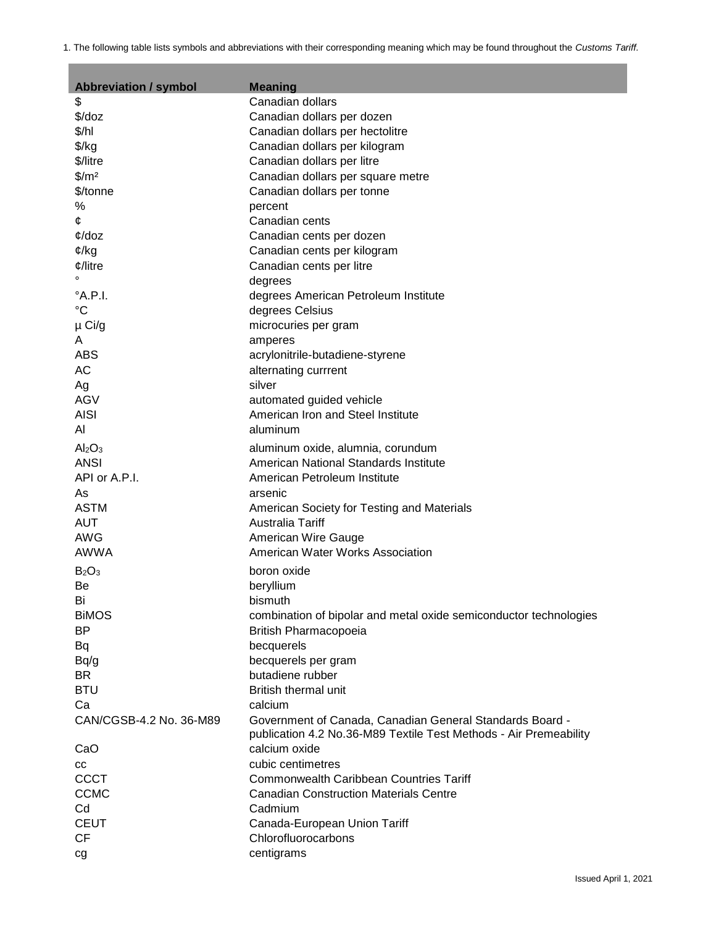1. The following table lists symbols and abbreviations with their corresponding meaning which may be found throughout the *Customs Tariff.*

п

| <b>Abbreviation / symbol</b>   | <b>Meaning</b>                                                    |  |
|--------------------------------|-------------------------------------------------------------------|--|
| \$                             | Canadian dollars                                                  |  |
| \$/doz                         | Canadian dollars per dozen                                        |  |
| \$/h                           | Canadian dollars per hectolitre                                   |  |
| $\frac{f}{g}$                  | Canadian dollars per kilogram                                     |  |
| \$/litre                       | Canadian dollars per litre                                        |  |
| $\frac{m^2}{2}$                | Canadian dollars per square metre                                 |  |
| \$/tonne                       | Canadian dollars per tonne                                        |  |
| $\%$                           | percent                                                           |  |
| ¢                              | Canadian cents                                                    |  |
| $\phi$ /doz                    | Canadian cents per dozen                                          |  |
| $\mathfrak{C}/kg$              | Canadian cents per kilogram                                       |  |
| $\phi$ /litre                  | Canadian cents per litre                                          |  |
|                                | degrees                                                           |  |
| $^{\circ}$ A.P.I.              | degrees American Petroleum Institute                              |  |
| $^{\circ}C$                    | degrees Celsius                                                   |  |
| µ Ci/g                         | microcuries per gram                                              |  |
| A                              | amperes                                                           |  |
| <b>ABS</b>                     | acrylonitrile-butadiene-styrene                                   |  |
| <b>AC</b>                      | alternating currrent                                              |  |
| Ag                             | silver                                                            |  |
| AGV                            | automated guided vehicle                                          |  |
| <b>AISI</b>                    | American Iron and Steel Institute                                 |  |
| Al                             | aluminum                                                          |  |
| Al <sub>2</sub> O <sub>3</sub> | aluminum oxide, alumnia, corundum                                 |  |
| <b>ANSI</b>                    | American National Standards Institute                             |  |
| API or A.P.I.                  | American Petroleum Institute                                      |  |
| As                             | arsenic                                                           |  |
| <b>ASTM</b>                    | American Society for Testing and Materials                        |  |
| <b>AUT</b>                     | Australia Tariff                                                  |  |
| <b>AWG</b>                     | American Wire Gauge                                               |  |
| <b>AWWA</b>                    | American Water Works Association                                  |  |
| B <sub>2</sub> O <sub>3</sub>  | boron oxide                                                       |  |
| Be                             | beryllium                                                         |  |
| Bi                             | bismuth                                                           |  |
| <b>BIMOS</b>                   | combination of bipolar and metal oxide semiconductor technologies |  |
| BP                             | British Pharmacopoeia                                             |  |
| Bq                             | becquerels                                                        |  |
| Bq/g                           | becquerels per gram                                               |  |
| <b>BR</b>                      | butadiene rubber                                                  |  |
| <b>BTU</b>                     | <b>British thermal unit</b>                                       |  |
| Ca                             | calcium                                                           |  |
| CAN/CGSB-4.2 No. 36-M89        | Government of Canada, Canadian General Standards Board -          |  |
|                                | publication 4.2 No.36-M89 Textile Test Methods - Air Premeability |  |
| CaO                            | calcium oxide                                                     |  |
| CС                             | cubic centimetres                                                 |  |
| <b>CCCT</b>                    | <b>Commonwealth Caribbean Countries Tariff</b>                    |  |
| <b>CCMC</b>                    | <b>Canadian Construction Materials Centre</b>                     |  |
| Cd                             | Cadmium                                                           |  |
| <b>CEUT</b>                    | Canada-European Union Tariff                                      |  |
| <b>CF</b>                      | Chlorofluorocarbons                                               |  |
| cg                             | centigrams                                                        |  |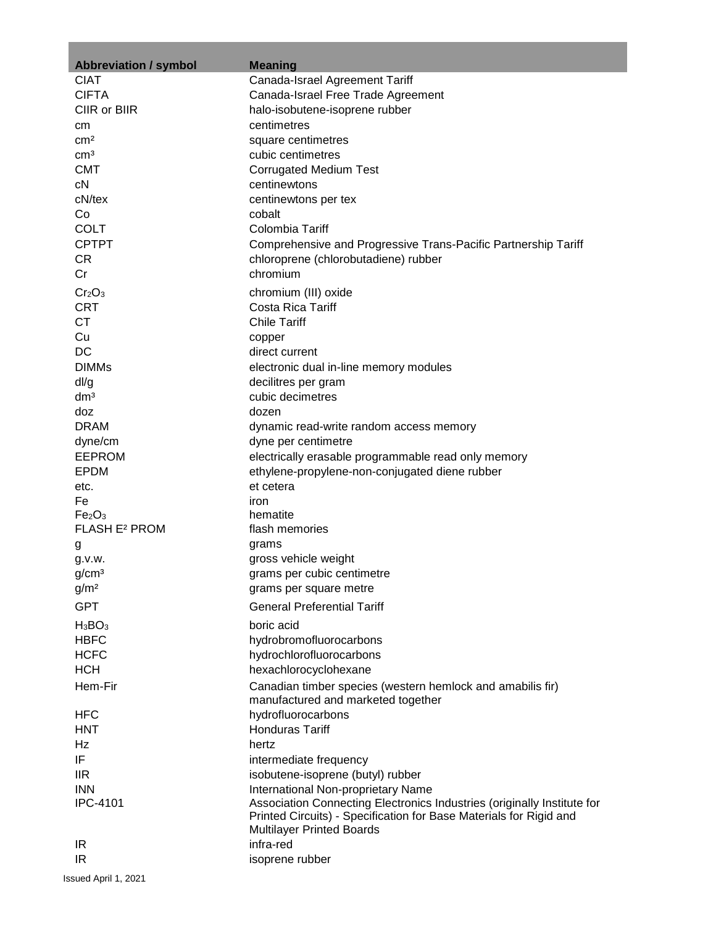| <b>Abbreviation / symbol</b>                                      | <b>Meaning</b>                                                          |  |
|-------------------------------------------------------------------|-------------------------------------------------------------------------|--|
| <b>CIAT</b>                                                       | Canada-Israel Agreement Tariff                                          |  |
| <b>CIFTA</b>                                                      | Canada-Israel Free Trade Agreement                                      |  |
| CIIR or BIIR                                                      | halo-isobutene-isoprene rubber                                          |  |
| cm                                                                | centimetres                                                             |  |
| cm <sup>2</sup>                                                   | square centimetres                                                      |  |
| cm <sup>3</sup>                                                   | cubic centimetres                                                       |  |
| <b>CMT</b>                                                        | <b>Corrugated Medium Test</b>                                           |  |
| cN                                                                | centinewtons                                                            |  |
| cN/tex                                                            | centinewtons per tex                                                    |  |
| Co                                                                | cobalt                                                                  |  |
| <b>COLT</b>                                                       | Colombia Tariff                                                         |  |
| <b>CPTPT</b>                                                      | Comprehensive and Progressive Trans-Pacific Partnership Tariff          |  |
| CR.                                                               | chloroprene (chlorobutadiene) rubber                                    |  |
| Cr                                                                | chromium                                                                |  |
| Cr <sub>2</sub> O <sub>3</sub>                                    | chromium (III) oxide                                                    |  |
| <b>CRT</b>                                                        | Costa Rica Tariff                                                       |  |
| <b>CT</b>                                                         | <b>Chile Tariff</b>                                                     |  |
| Cu                                                                | copper                                                                  |  |
| DC                                                                | direct current                                                          |  |
| <b>DIMMs</b>                                                      | electronic dual in-line memory modules                                  |  |
| dl/g                                                              | decilitres per gram                                                     |  |
| dm <sup>3</sup>                                                   | cubic decimetres                                                        |  |
| doz                                                               | dozen                                                                   |  |
| <b>DRAM</b>                                                       | dynamic read-write random access memory                                 |  |
| dyne/cm                                                           | dyne per centimetre                                                     |  |
| <b>EEPROM</b>                                                     | electrically erasable programmable read only memory                     |  |
| <b>EPDM</b>                                                       | ethylene-propylene-non-conjugated diene rubber                          |  |
| etc.                                                              | et cetera                                                               |  |
| Fe                                                                | iron                                                                    |  |
| Fe <sub>2</sub> O <sub>3</sub><br><b>FLASH E<sup>2</sup> PROM</b> | hematite<br>flash memories                                              |  |
|                                                                   | grams                                                                   |  |
| g<br>q.v.w.                                                       | gross vehicle weight                                                    |  |
| g/cm <sup>3</sup>                                                 | grams per cubic centimetre                                              |  |
| g/m <sup>2</sup>                                                  | grams per square metre                                                  |  |
| <b>GPT</b>                                                        | <b>General Preferential Tariff</b>                                      |  |
|                                                                   |                                                                         |  |
| $H_3BO_3$                                                         | boric acid                                                              |  |
| <b>HBFC</b>                                                       | hydrobromofluorocarbons                                                 |  |
| <b>HCFC</b>                                                       | hydrochlorofluorocarbons                                                |  |
| <b>HCH</b>                                                        | hexachlorocyclohexane                                                   |  |
| Hem-Fir                                                           | Canadian timber species (western hemlock and amabilis fir)              |  |
|                                                                   | manufactured and marketed together                                      |  |
| HFC<br><b>HNT</b>                                                 | hydrofluorocarbons<br><b>Honduras Tariff</b>                            |  |
| Hz                                                                | hertz                                                                   |  |
| IF                                                                |                                                                         |  |
| <b>IIR</b>                                                        | intermediate frequency<br>isobutene-isoprene (butyl) rubber             |  |
| <b>INN</b>                                                        | International Non-proprietary Name                                      |  |
| <b>IPC-4101</b>                                                   | Association Connecting Electronics Industries (originally Institute for |  |
|                                                                   | Printed Circuits) - Specification for Base Materials for Rigid and      |  |
|                                                                   | <b>Multilayer Printed Boards</b>                                        |  |
| IR                                                                | infra-red                                                               |  |
| IR                                                                | isoprene rubber                                                         |  |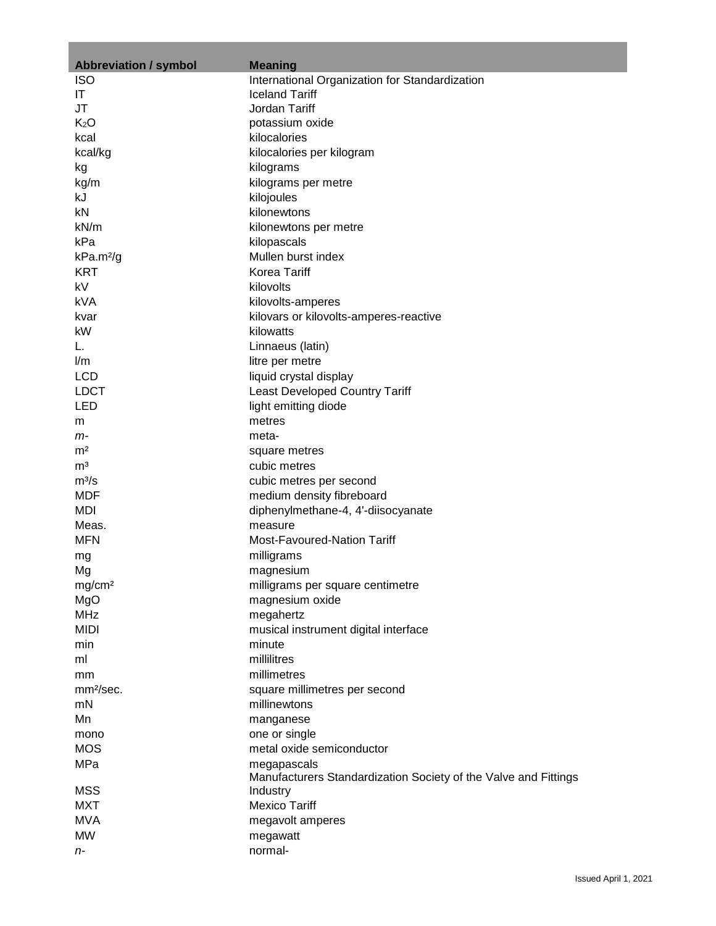| <b>Abbreviation / symbol</b> | <b>Meaning</b>                                                  |  |
|------------------------------|-----------------------------------------------------------------|--|
| <b>ISO</b>                   | International Organization for Standardization                  |  |
| IT                           | <b>Iceland Tariff</b>                                           |  |
| JT                           | Jordan Tariff                                                   |  |
| K <sub>2</sub> O             | potassium oxide                                                 |  |
| kcal                         | kilocalories                                                    |  |
| kcal/kg                      | kilocalories per kilogram                                       |  |
|                              |                                                                 |  |
| kg                           | kilograms                                                       |  |
| kg/m                         | kilograms per metre                                             |  |
| kJ                           | kilojoules                                                      |  |
| kN                           | kilonewtons                                                     |  |
| kN/m                         | kilonewtons per metre                                           |  |
| kPa                          | kilopascals                                                     |  |
| kPa.m <sup>2</sup> /g        | Mullen burst index                                              |  |
| <b>KRT</b>                   | <b>Korea Tariff</b>                                             |  |
| kV                           | kilovolts                                                       |  |
| kVA                          | kilovolts-amperes                                               |  |
| kvar                         | kilovars or kilovolts-amperes-reactive                          |  |
| kW                           | kilowatts                                                       |  |
| L.                           | Linnaeus (latin)                                                |  |
| l/m                          | litre per metre                                                 |  |
| <b>LCD</b>                   | liquid crystal display                                          |  |
| <b>LDCT</b>                  | <b>Least Developed Country Tariff</b>                           |  |
| <b>LED</b>                   |                                                                 |  |
|                              | light emitting diode                                            |  |
| m                            | metres                                                          |  |
| m-                           | meta-                                                           |  |
| m <sup>2</sup>               | square metres                                                   |  |
| m <sup>3</sup>               | cubic metres                                                    |  |
| $m^3/s$                      | cubic metres per second                                         |  |
| <b>MDF</b>                   | medium density fibreboard                                       |  |
| MDI                          | diphenylmethane-4, 4'-diisocyanate                              |  |
| Meas.                        | measure                                                         |  |
| <b>MFN</b>                   | Most-Favoured-Nation Tariff                                     |  |
| mg                           | milligrams                                                      |  |
| Mg                           | magnesium                                                       |  |
| mg/cm <sup>2</sup>           | milligrams per square centimetre                                |  |
| MgO                          | magnesium oxide                                                 |  |
| <b>MHz</b>                   | megahertz                                                       |  |
| <b>MIDI</b>                  | musical instrument digital interface                            |  |
| min                          | minute                                                          |  |
| ml                           | millilitres                                                     |  |
|                              | millimetres                                                     |  |
| mm<br>mm <sup>2</sup> /sec.  |                                                                 |  |
|                              | square millimetres per second                                   |  |
| mN                           | millinewtons                                                    |  |
| Mn                           | manganese                                                       |  |
| mono                         | one or single                                                   |  |
| <b>MOS</b>                   | metal oxide semiconductor                                       |  |
| MPa                          | megapascals                                                     |  |
|                              | Manufacturers Standardization Society of the Valve and Fittings |  |
| <b>MSS</b>                   | Industry                                                        |  |
| <b>MXT</b>                   | <b>Mexico Tariff</b>                                            |  |
| <b>MVA</b>                   | megavolt amperes                                                |  |
| <b>MW</b>                    | megawatt                                                        |  |
| n-                           | normal-                                                         |  |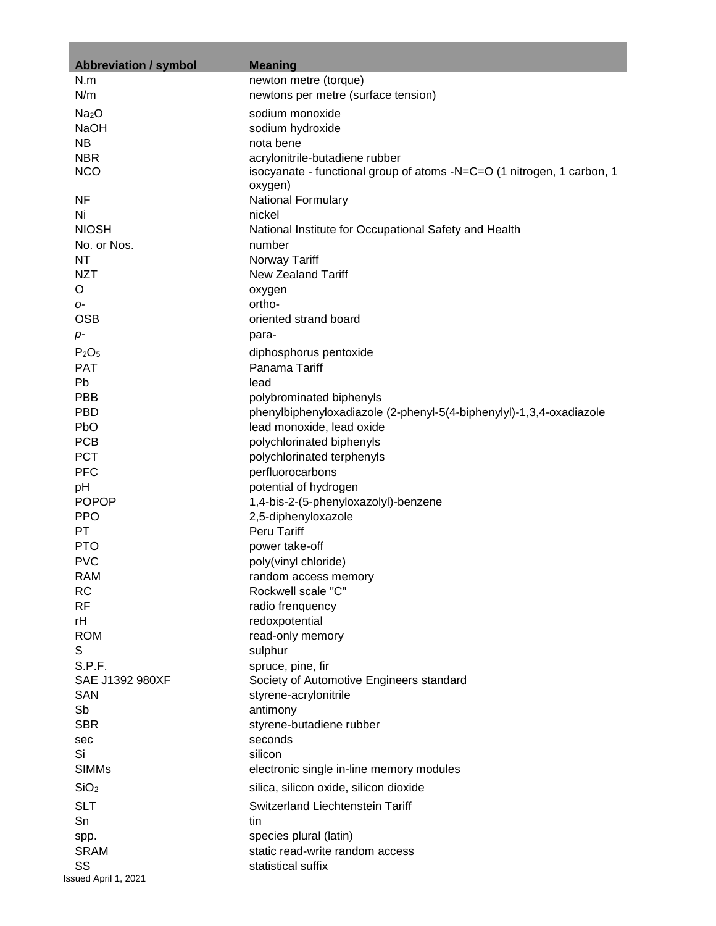| <b>Abbreviation / symbol</b>  | <b>Meaning</b>                                                         |
|-------------------------------|------------------------------------------------------------------------|
| N.m                           | newton metre (torque)                                                  |
| N/m                           | newtons per metre (surface tension)                                    |
| Na <sub>2</sub> O             | sodium monoxide                                                        |
| <b>NaOH</b>                   | sodium hydroxide                                                       |
| <b>NB</b>                     | nota bene                                                              |
| <b>NBR</b>                    | acrylonitrile-butadiene rubber                                         |
| <b>NCO</b>                    | isocyanate - functional group of atoms -N=C=O (1 nitrogen, 1 carbon, 1 |
|                               | oxygen)                                                                |
| <b>NF</b>                     | National Formulary                                                     |
| Ni                            | nickel                                                                 |
| <b>NIOSH</b>                  | National Institute for Occupational Safety and Health                  |
| No. or Nos.                   | number                                                                 |
| NT                            | Norway Tariff                                                          |
| <b>NZT</b>                    | New Zealand Tariff                                                     |
| O                             | oxygen                                                                 |
| 0-                            | ortho-                                                                 |
| <b>OSB</b>                    | oriented strand board                                                  |
| $p-$                          | para-                                                                  |
| P <sub>2</sub> O <sub>5</sub> | diphosphorus pentoxide                                                 |
| <b>PAT</b>                    | Panama Tariff                                                          |
| Pb                            | lead                                                                   |
| PBB                           | polybrominated biphenyls                                               |
| <b>PBD</b>                    | phenylbiphenyloxadiazole (2-phenyl-5(4-biphenylyl)-1,3,4-oxadiazole    |
| <b>PbO</b>                    | lead monoxide, lead oxide                                              |
| <b>PCB</b>                    | polychlorinated biphenyls                                              |
| <b>PCT</b>                    | polychlorinated terphenyls                                             |
| <b>PFC</b>                    | perfluorocarbons                                                       |
| pH                            | potential of hydrogen                                                  |
| <b>POPOP</b><br><b>PPO</b>    | 1,4-bis-2-(5-phenyloxazolyl)-benzene                                   |
| PT                            | 2,5-diphenyloxazole<br><b>Peru Tariff</b>                              |
| <b>PTO</b>                    | power take-off                                                         |
| <b>PVC</b>                    | poly(vinyl chloride)                                                   |
| RAM                           | random access memory                                                   |
| RC                            | Rockwell scale "C"                                                     |
| <b>RF</b>                     | radio frenquency                                                       |
| rH                            | redoxpotential                                                         |
| <b>ROM</b>                    | read-only memory                                                       |
| S                             | sulphur                                                                |
| S.P.F.                        | spruce, pine, fir                                                      |
| SAE J1392 980XF               | Society of Automotive Engineers standard                               |
| <b>SAN</b>                    | styrene-acrylonitrile                                                  |
| Sb                            | antimony                                                               |
| <b>SBR</b>                    | styrene-butadiene rubber                                               |
| sec                           | seconds                                                                |
| Si                            | silicon                                                                |
| <b>SIMMs</b>                  | electronic single in-line memory modules                               |
| SiO <sub>2</sub>              | silica, silicon oxide, silicon dioxide                                 |
| <b>SLT</b>                    | Switzerland Liechtenstein Tariff                                       |
| Sn                            | tin                                                                    |
| spp.                          | species plural (latin)                                                 |
| <b>SRAM</b>                   | static read-write random access                                        |
| SS                            | statistical suffix                                                     |
| Issued April 1, 2021          |                                                                        |

in 1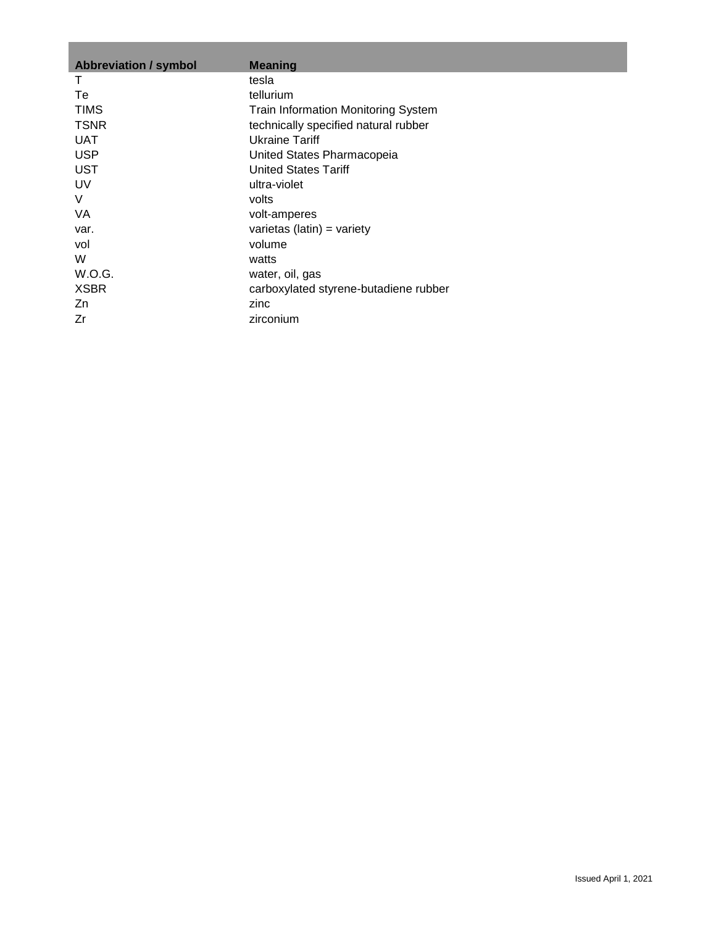| <b>Abbreviation / symbol</b> | <b>Meaning</b>                        |
|------------------------------|---------------------------------------|
| Τ                            | tesla                                 |
| Тe                           | tellurium                             |
| <b>TIMS</b>                  | Train Information Monitoring System   |
| <b>TSNR</b>                  | technically specified natural rubber  |
| <b>UAT</b>                   | Ukraine Tariff                        |
| <b>USP</b>                   | United States Pharmacopeia            |
| <b>UST</b>                   | <b>United States Tariff</b>           |
| UV                           | ultra-violet                          |
| V                            | volts                                 |
| VA                           | volt-amperes                          |
| var.                         | varietas (latin) = variety            |
| vol                          | volume                                |
| W                            | watts                                 |
| W.O.G.                       | water, oil, gas                       |
| <b>XSBR</b>                  | carboxylated styrene-butadiene rubber |
| Zn                           | zinc                                  |
| Zr                           | zirconium                             |